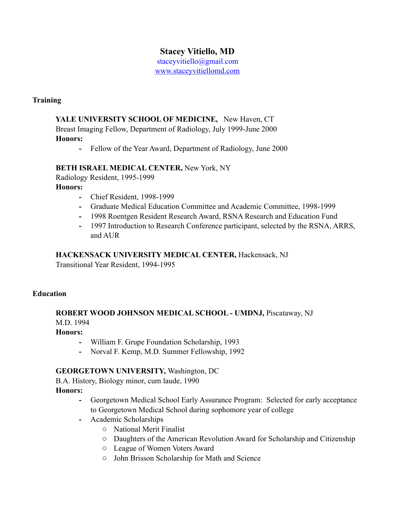# **Stacey Vitiello, MD**

staceyvitiello@gmail.com www.staceyvitiellomd.com

### **Training**

# **YALE UNIVERSITY SCHOOL OF MEDICINE,** New Haven, CT Breast Imaging Fellow, Department of Radiology, July 1999-June 2000 **Honors:**

**-** Fellow of the Year Award, Department of Radiology, June 2000

# **BETH ISRAEL MEDICAL CENTER,** New York, NY

Radiology Resident, 1995-1999 **Honors:**

- **-** Chief Resident, 1998-1999
- **-** Graduate Medical Education Committee and Academic Committee, 1998-1999
- **-** 1998 Roentgen Resident Research Award, RSNA Research and Education Fund
- **-** 1997 Introduction to Research Conference participant, selected by the RSNA, ARRS, and AUR

### **HACKENSACK UNIVERSITY MEDICAL CENTER,** Hackensack, NJ

Transitional Year Resident, 1994-1995

### **Education**

#### **ROBERT WOOD JOHNSON MEDICAL SCHOOL - UMDNJ,** Piscataway, NJ M.D. 1994

**Honors:**

- **-** William F. Grupe Foundation Scholarship, 1993
- **-** Norval F. Kemp, M.D. Summer Fellowship, 1992

# **GEORGETOWN UNIVERSITY,** Washington, DC

B.A. History, Biology minor, cum laude, 1990

# **Honors:**

- **-** Georgetown Medical School Early Assurance Program: Selected for early acceptance to Georgetown Medical School during sophomore year of college
- **-** Academic Scholarships
	- o National Merit Finalist
	- o Daughters of the American Revolution Award for Scholarship and Citizenship
	- o League of Women Voters Award
	- o John Brisson Scholarship for Math and Science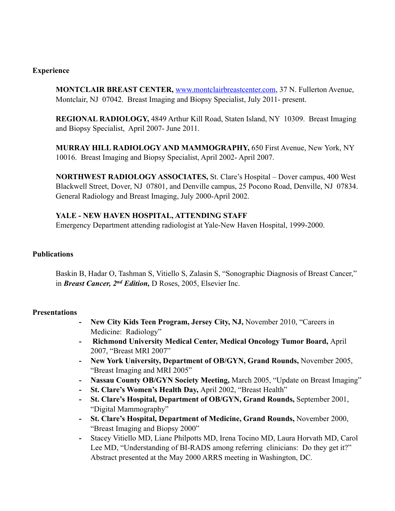### **Experience**

**MONTCLAIR BREAST CENTER,** [www.montclairbreastcenter.com](http://www.montclairbreastcenter.com), 37 N. Fullerton Avenue, Montclair, NJ 07042. Breast Imaging and Biopsy Specialist, July 2011- present.

 **REGIONAL RADIOLOGY,** 4849 Arthur Kill Road, Staten Island, NY 10309. Breast Imaging and Biopsy Specialist, April 2007- June 2011.

**MURRAY HILL RADIOLOGY AND MAMMOGRAPHY,** 650 First Avenue, New York, NY 10016. Breast Imaging and Biopsy Specialist, April 2002- April 2007.

**NORTHWEST RADIOLOGY ASSOCIATES,** St. Clare's Hospital – Dover campus, 400 West Blackwell Street, Dover, NJ 07801, and Denville campus, 25 Pocono Road, Denville, NJ 07834. General Radiology and Breast Imaging, July 2000-April 2002.

**YALE - NEW HAVEN HOSPITAL, ATTENDING STAFF** Emergency Department attending radiologist at Yale-New Haven Hospital, 1999-2000.

#### **Publications**

Baskin B, Hadar O, Tashman S, Vitiello S, Zalasin S, "Sonographic Diagnosis of Breast Cancer," in *Breast Cancer, 2nd Edition,* D Roses, 2005, Elsevier Inc.

#### **Presentations**

- **- New City Kids Teen Program, Jersey City, NJ,** November 2010, "Careers in Medicine: Radiology"
- **Richmond University Medical Center, Medical Oncology Tumor Board,** April 2007, "Breast MRI 2007"
- **- New York University, Department of OB/GYN, Grand Rounds,** November 2005, "Breast Imaging and MRI 2005"
- **- Nassau County OB/GYN Society Meeting,** March 2005, "Update on Breast Imaging"
- **- St. Clare's Women's Health Day,** April 2002, "Breast Health"
- **- St. Clare's Hospital, Department of OB/GYN, Grand Rounds,** September 2001, "Digital Mammography"
- **- St. Clare's Hospital, Department of Medicine, Grand Rounds,** November 2000, "Breast Imaging and Biopsy 2000"
- **-** Stacey Vitiello MD, Liane Philpotts MD, Irena Tocino MD, Laura Horvath MD, Carol Lee MD, "Understanding of BI-RADS among referring clinicians: Do they get it?" Abstract presented at the May 2000 ARRS meeting in Washington, DC.